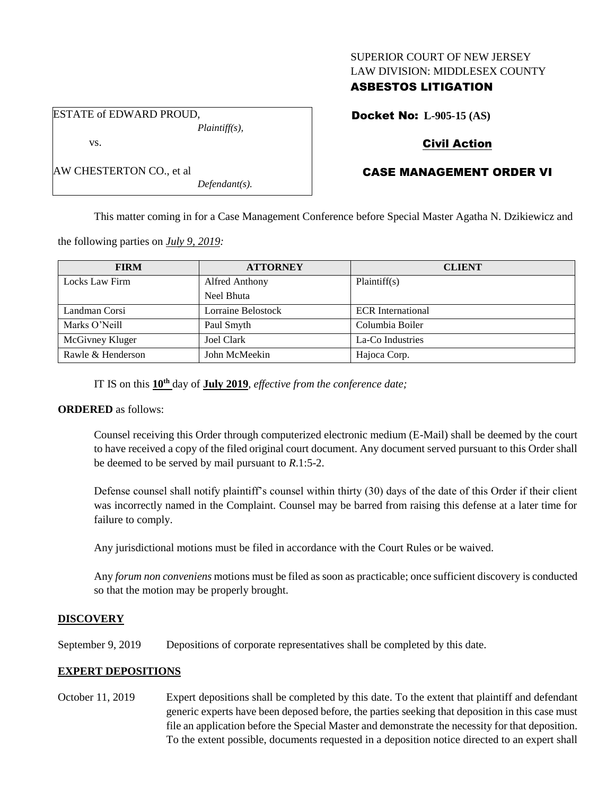### SUPERIOR COURT OF NEW JERSEY LAW DIVISION: MIDDLESEX COUNTY

## ASBESTOS LITIGATION

Docket No: **L-905-15 (AS)**

## Civil Action

# CASE MANAGEMENT ORDER VI

This matter coming in for a Case Management Conference before Special Master Agatha N. Dzikiewicz and

the following parties on *July 9, 2019:*

| <b>FIRM</b>       | <b>ATTORNEY</b>       | <b>CLIENT</b>            |
|-------------------|-----------------------|--------------------------|
| Locks Law Firm    | <b>Alfred Anthony</b> | Plaintiff(s)             |
|                   | Neel Bhuta            |                          |
| Landman Corsi     | Lorraine Belostock    | <b>ECR</b> International |
| Marks O'Neill     | Paul Smyth            | Columbia Boiler          |
| McGivney Kluger   | Joel Clark            | La-Co Industries         |
| Rawle & Henderson | John McMeekin         | Hajoca Corp.             |

IT IS on this **10th** day of **July 2019**, *effective from the conference date;*

#### **ORDERED** as follows:

Counsel receiving this Order through computerized electronic medium (E-Mail) shall be deemed by the court to have received a copy of the filed original court document. Any document served pursuant to this Order shall be deemed to be served by mail pursuant to *R*.1:5-2.

Defense counsel shall notify plaintiff's counsel within thirty (30) days of the date of this Order if their client was incorrectly named in the Complaint. Counsel may be barred from raising this defense at a later time for failure to comply.

Any jurisdictional motions must be filed in accordance with the Court Rules or be waived.

Any *forum non conveniens* motions must be filed as soon as practicable; once sufficient discovery is conducted so that the motion may be properly brought.

## **DISCOVERY**

September 9, 2019 Depositions of corporate representatives shall be completed by this date.

## **EXPERT DEPOSITIONS**

October 11, 2019 Expert depositions shall be completed by this date. To the extent that plaintiff and defendant generic experts have been deposed before, the parties seeking that deposition in this case must file an application before the Special Master and demonstrate the necessity for that deposition. To the extent possible, documents requested in a deposition notice directed to an expert shall

ESTATE of EDWARD PROUD, *Plaintiff(s),* vs.

*Defendant(s).*